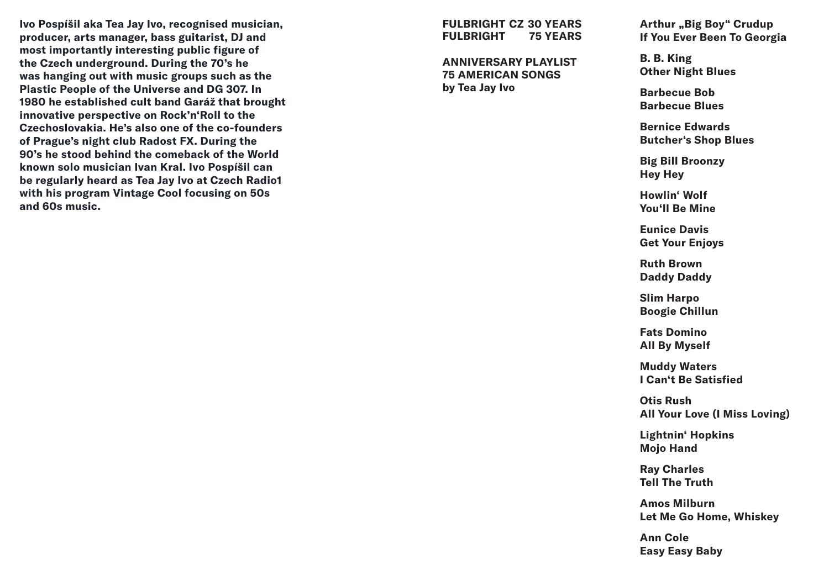**Ivo Pospíšil aka Tea Jay Ivo, recognised musician, producer, arts manager, bass guitarist, DJ and most importantly interesting public figure of the Czech underground. During the 70's he was hanging out with music groups such as the Plastic People of the Universe and DG 307. In 1980 he established cult band Garáž that brought innovative perspective on Rock'n'Roll to the Czechoslovakia. He's also one of the co-founders of Prague's night club Radost FX. During the 90's he stood behind the comeback of the World known solo musician Ivan Kral. Ivo Pospíšil can be regularly heard as Tea Jay Ivo at Czech Radio1 with his program Vintage Cool focusing on 50s and 60s music.** 

**FULBRIGHT CZ 30 YEARS FULBRIGHT 75 YEARS** 

**ANNIVERSARY PLAYLIST 75 AMERICAN SONGS by Tea Jay Ivo**

Arthur "Big Boy" Crudup **If You Ever Been To Georgia**

**B. B. King Other Night Blues**

**Barbecue Bob Barbecue Blues**

**Bernice Edwards Butcher's Shop Blues**

**Big Bill Broonzy Hey Hey**

**Howlin' Wolf You'll Be Mine**

**Eunice Davis Get Your Enjoys**

**Ruth Brown Daddy Daddy**

**Slim Harpo Boogie Chillun**

**Fats Domino All By Myself**

**Muddy Waters I Can't Be Satisfied**

**Otis Rush All Your Love (I Miss Loving)**

**Lightnin' Hopkins Mojo Hand**

**Ray Charles Tell The Truth**

**Amos Milburn Let Me Go Home, Whiskey**

**Ann Cole Easy Easy Baby**